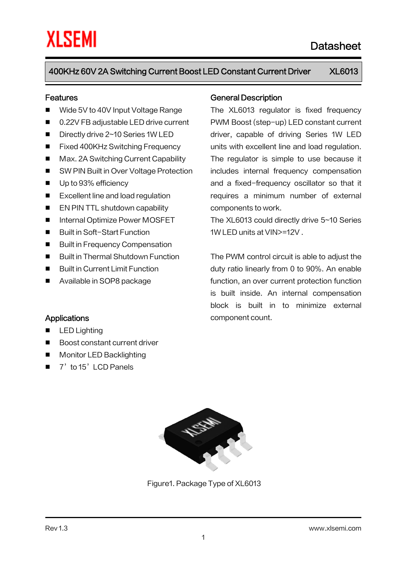#### Features

- Wide 5V to 40V Input Voltage Range
- 0.22V FB adjustable LED drive current
- Directly drive 2~10 Series 1W LED
- Fixed 400KHz Switching Frequency
- Max. 2A Switching Current Capability
- SW PIN Built in Over Voltage Protection
- Up to 93% efficiency
- Excellent line and load regulation
- **EN PIN TTL shutdown capability**
- Internal Optimize Power MOSFET
- Built in Soft-Start Function
- **Built in Frequency Compensation**
- Built in Thermal Shutdown Function
- Built in Current Limit Function

■ Boost constant current driver

**Monitor LED Backlighting** 7'to 15'LCD Panels

Available in SOP8 package

**Applications** 

LED Lighting

#### General Description

The XL6013 regulator is fixed frequency PWM Boost (step-up) LED constant current driver, capable of driving Series 1W LED units with excellent line and load regulation. The regulator is simple to use because it includes internal frequency compensation and a fixed-frequency oscillator so that it requires a minimum number of external components to work.

The XL6013 could directly drive 5~10 Series 1W LED units at VIN>=12V .

The PWM control circuit is able to adjust the duty ratio linearly from 0 to 90%. An enable function, an over current protection function is built inside. An internal compensation block is built in to minimize external component count.



Figure1. Package Type of XL6013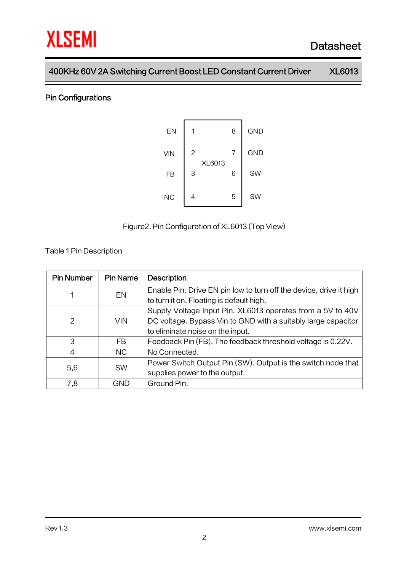#### Pin Configurations



Figure2.Pin Configuration of XL6013 (Top View)

Table 1Pin Description

| <b>Pin Number</b> | <b>Pin Name</b> | <b>Description</b>                                                 |
|-------------------|-----------------|--------------------------------------------------------------------|
|                   | EN              | Enable Pin. Drive EN pin low to turn off the device, drive it high |
|                   |                 | to turn it on. Floating is default high.                           |
|                   | <b>VIN</b>      | Supply Voltage Input Pin. XL6013 operates from a 5V to 40V         |
| 2                 |                 | DC voltage. Bypass Vin to GND with a suitably large capacitor      |
|                   |                 | to eliminate noise on the input.                                   |
| 3                 | FB              | Feedback Pin (FB). The feedback threshold voltage is 0.22V.        |
| 4                 | NC.             | No Connected.                                                      |
| 5,6               | <b>SW</b>       | Power Switch Output Pin (SW). Output is the switch node that       |
|                   |                 | supplies power to the output.                                      |
| 7,8               | GND             | Ground Pin.                                                        |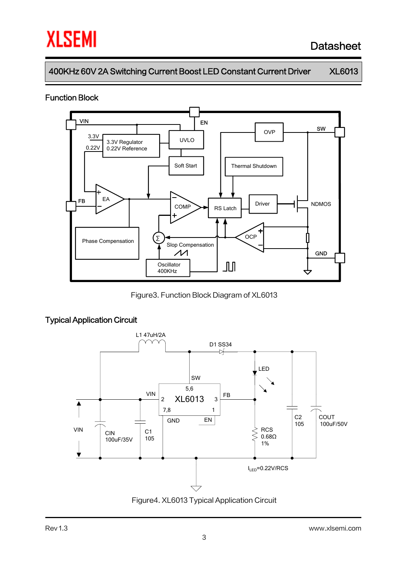# **XLSEMI**

# Datasheet

400KHz 60V 2A Switching Current Boost LED Constant Current Driver XL6013

#### Function Block



Figure3. Function Block Diagram of XL6013

# Typical Application Circuit



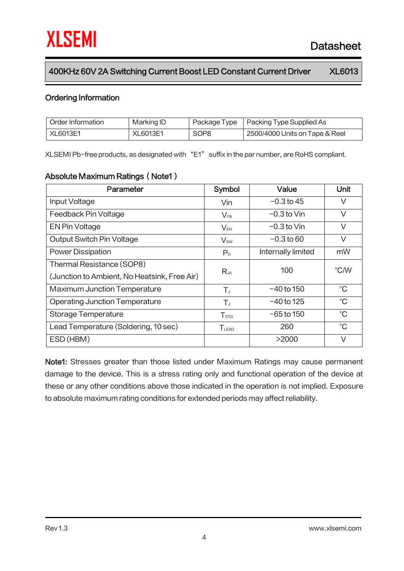#### Ordering Information

| Order Information | Marking ID | Package Type     | Packing Type Supplied As       |
|-------------------|------------|------------------|--------------------------------|
| XL6013E1          | XL6013E1   | SOP <sub>8</sub> | 2500/4000 Units on Tape & Reel |

XLSEMI Pb-free products, as designated with "E1" suffix in the par number, are RoHS compliant.

#### Absolute Maximum Ratings (Note1)

| Parameter                                    | Symbol                           | Value              | Unit        |  |
|----------------------------------------------|----------------------------------|--------------------|-------------|--|
| Input Voltage                                | Vin                              | $-0.3$ to 45       |             |  |
| Feedback Pin Voltage                         | $V_{FB}$                         | $-0.3$ to Vin      | V           |  |
| EN Pin Voltage                               | $V_{EN}$                         | $-0.3$ to Vin      |             |  |
| Output Switch Pin Voltage                    | $V_{\text{sw}}$                  | $-0.3$ to 60       | V           |  |
| <b>Power Dissipation</b>                     | P <sub>D</sub>                   | Internally limited | mW          |  |
| Thermal Resistance (SOP8)                    |                                  | 100                | °C/W        |  |
| (Junction to Ambient, No Heatsink, Free Air) | $R_{JA}$                         |                    |             |  |
| <b>Maximum Junction Temperature</b>          | $T_{J}$                          | $-40$ to 150       | $^{\circ}C$ |  |
| <b>Operating Junction Temperature</b>        | $-40$ to 125<br>$T_{J}$          |                    | $^{\circ}C$ |  |
| Storage Temperature                          | $-65$ to 150<br>$T_{\text{STG}}$ |                    | $^{\circ}C$ |  |
| Lead Temperature (Soldering, 10 sec)         | <b>TLEAD</b>                     | 260                | $^{\circ}C$ |  |
| ESD (HBM)                                    |                                  | >2000              | V           |  |

Note1: Stresses greater than those listed under Maximum Ratings may cause permanent damage to the device. This is a stress rating only and functional operation of the device at these or any other conditions above those indicated in the operation is not implied. Exposure to absolute maximum rating conditions for extended periods may affect reliability.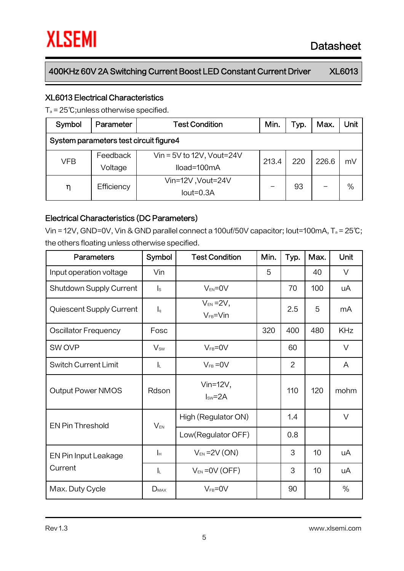#### XL6013 Electrical Characteristics

T<sup>a</sup> = 25℃;unless otherwise specified.

| Symbol                                 | Parameter           | <b>Test Condition</b>                      | Min.  | Typ. | Max.  | Unit |  |
|----------------------------------------|---------------------|--------------------------------------------|-------|------|-------|------|--|
| System parameters test circuit figure4 |                     |                                            |       |      |       |      |  |
| VFB                                    | Feedback<br>Voltage | Vin = $5V$ to 12V, Vout=24V<br>lload=100mA | 213.4 | 220  | 226.6 | mV   |  |
| η                                      | Efficiency          | Vin=12V, Vout=24V<br>$Iout=0.3A$           |       | 93   |       | $\%$ |  |

#### Electrical Characteristics (DC Parameters)

Vin = 12V, GND=0V, Vin & GND parallel connect a 100uf/50V capacitor; Iout=100mA, T<sup>a</sup> = 25℃; the others floating unless otherwise specified.

| Parameters                      | Symbol                    | <b>Test Condition</b>              | Min. | Typ.           | Max. | Unit       |
|---------------------------------|---------------------------|------------------------------------|------|----------------|------|------------|
| Input operation voltage         | Vin                       |                                    | 5    |                | 40   | $\vee$     |
| Shutdown Supply Current         | $\mathsf{I}_\mathsf{S}$   | $V_{EN} = 0V$                      |      | 70             | 100  | uA         |
| <b>Quiescent Supply Current</b> | $\mathsf{I}_{q}$          | $V_{EN} = 2V$ ,<br>$V_{FB} = V$ in |      | 2.5            | 5    | mA         |
| <b>Oscillator Frequency</b>     | Fosc                      |                                    | 320  | 400            | 480  | <b>KHz</b> |
| SW OVP                          | $V_{sw}$                  | $V_{FB} = 0V$                      |      | 60             |      | $\vee$     |
| <b>Switch Current Limit</b>     | IL.                       | $V_{FB} = 0V$                      |      | $\overline{2}$ |      | A          |
| <b>Output Power NMOS</b>        | Rdson                     | Vin= $12V$ ,<br>$Isw = 2A$         |      | 110            | 120  | mohm       |
| <b>EN Pin Threshold</b>         | $V_{EN}$                  | High (Regulator ON)                |      | 1.4            |      | $\vee$     |
|                                 |                           | Low(Regulator OFF)                 |      | 0.8            |      |            |
| EN Pin Input Leakage            | $\mathsf{I}_{\mathsf{H}}$ | $V_{EN}$ = 2V (ON)                 |      | 3              | 10   | uA         |
| Current                         | $\mathsf{L}$              | $V_{EN} = 0V (OFF)$                |      | 3              | 10   | uA         |
| Max. Duty Cycle                 | $D_{MAX}$                 | $V_{FB} = 0V$                      |      | 90             |      | %          |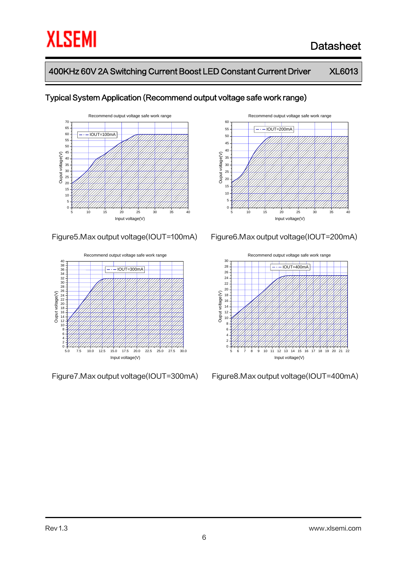

#### Typical System Application (Recommend output voltage safe work range)









Figure7.Max output voltage(IOUT=300mA) Figure8.Max output voltage(IOUT=400mA)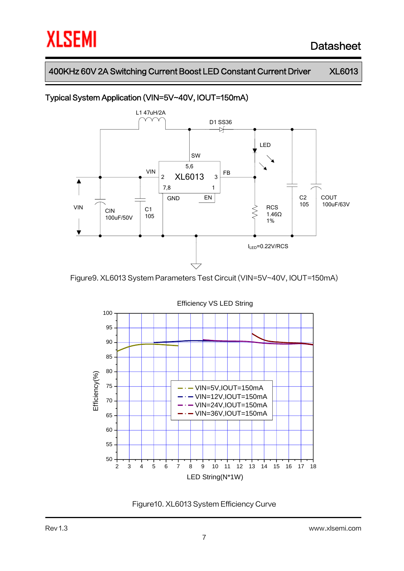### Typical System Application (VIN=5V~40V, IOUT=150mA)



Figure9. XL6013 System Parameters Test Circuit (VIN=5V~40V, IOUT=150mA)



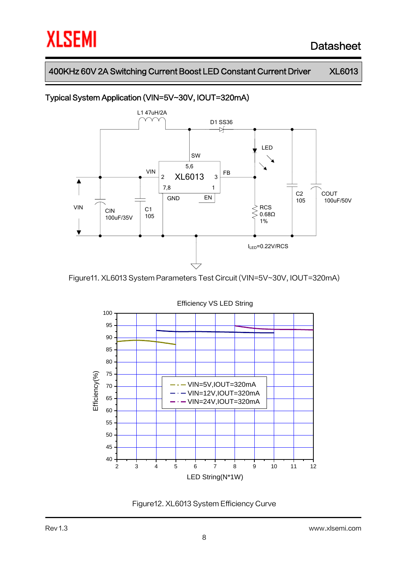### Typical System Application (VIN=5V~30V, IOUT=320mA)



Figure11. XL6013 System Parameters Test Circuit (VIN=5V~30V, IOUT=320mA)



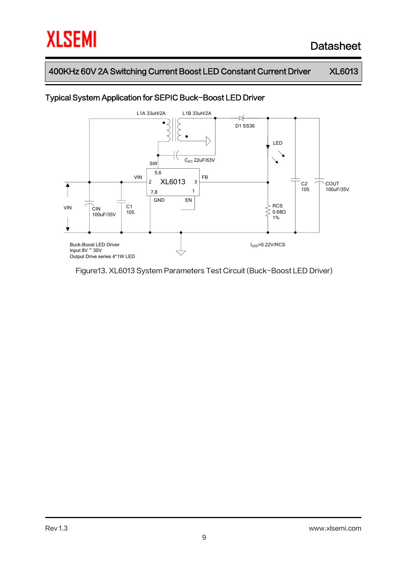

#### Typical System Application for SEPIC Buck-Boost LED Driver

Figure13. XL6013 System Parameters Test Circuit (Buck-Boost LED Driver)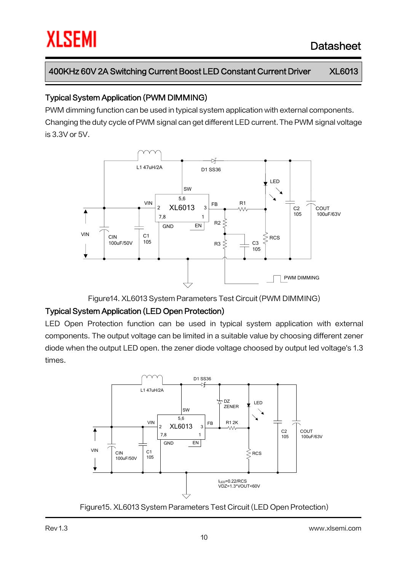#### Typical System Application (PWM DIMMING)

PWM dimming function can be used in typical system application with external components. Changing the duty cycle of PWM signal can get different LED current.The PWM signal voltage is 3.3V or 5V.



Figure14. XL6013 System Parameters Test Circuit (PWM DIMMING)

### Typical System Application (LED Open Protection)

LED Open Protection function can be used in typical system application with external components. The output voltage can be limited in a suitable value by choosing different zener diode when the output LED open. the zener diode voltage choosed by output led voltage's 1.3 times.



Figure15. XL6013 System Parameters Test Circuit (LED Open Protection)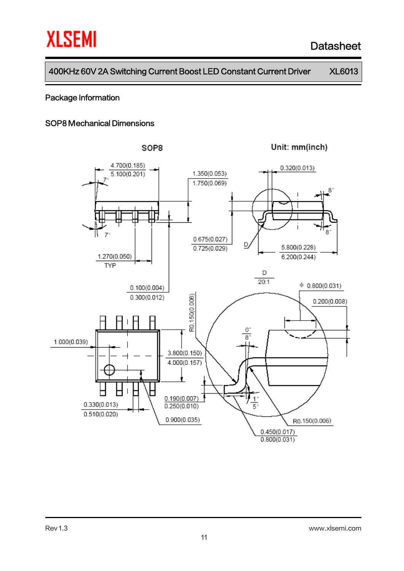#### Package Information

#### SOP8 Mechanical Dimensions